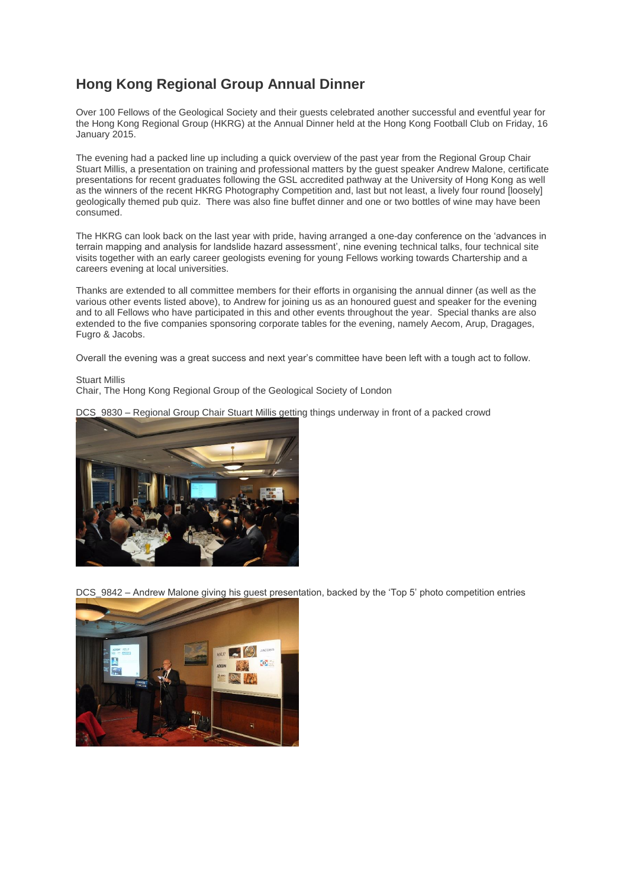## **Hong Kong Regional Group Annual Dinner**

Over 100 Fellows of the Geological Society and their guests celebrated another successful and eventful year for the Hong Kong Regional Group (HKRG) at the Annual Dinner held at the Hong Kong Football Club on Friday, 16 January 2015.

The evening had a packed line up including a quick overview of the past year from the Regional Group Chair Stuart Millis, a presentation on training and professional matters by the guest speaker Andrew Malone, certificate presentations for recent graduates following the GSL accredited pathway at the University of Hong Kong as well as the winners of the recent HKRG Photography Competition and, last but not least, a lively four round [loosely] geologically themed pub quiz. There was also fine buffet dinner and one or two bottles of wine may have been consumed.

The HKRG can look back on the last year with pride, having arranged a one-day conference on the 'advances in terrain mapping and analysis for landslide hazard assessment', nine evening technical talks, four technical site visits together with an early career geologists evening for young Fellows working towards Chartership and a careers evening at local universities.

Thanks are extended to all committee members for their efforts in organising the annual dinner (as well as the various other events listed above), to Andrew for joining us as an honoured guest and speaker for the evening and to all Fellows who have participated in this and other events throughout the year. Special thanks are also extended to the five companies sponsoring corporate tables for the evening, namely Aecom, Arup, Dragages, Fugro & Jacobs.

Overall the evening was a great success and next year's committee have been left with a tough act to follow.

Stuart Millis

Chair, The Hong Kong Regional Group of the Geological Society of London

DCS 9830 – Regional Group Chair Stuart Millis getting things underway in front of a packed crowd



DCS\_9842 – Andrew Malone giving his guest presentation, backed by the 'Top 5' photo competition entries